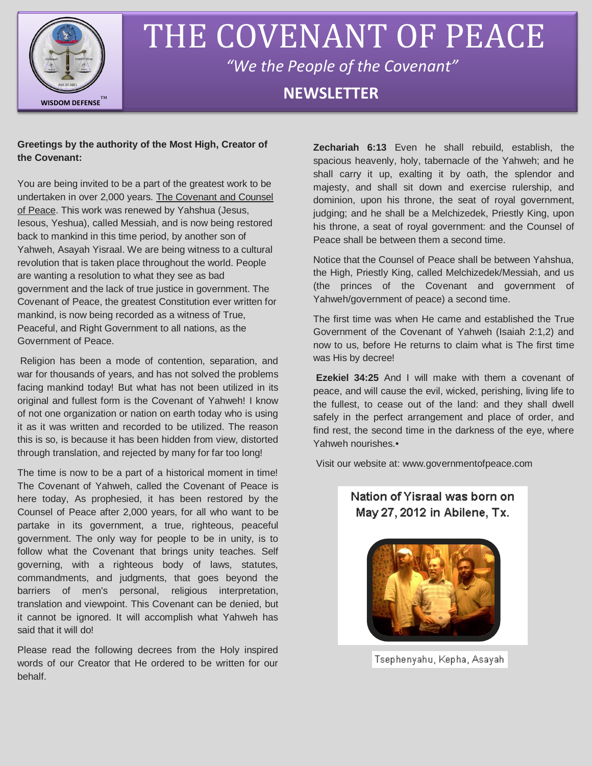

# THE COVENANT OF PEACE *"We the People of the Covenant"*

## **NEWSLETTER**

### **Greetings by the authority of the Most High, Creator of the Covenant:**

You are being invited to be a part of the greatest work to be undertaken in over 2,000 years. The Covenant and Counsel of Peace. This work was renewed by Yahshua (Jesus, Iesous, Yeshua), called Messiah, and is now being restored back to mankind in this time period, by another son of Yahweh, Asayah Yisraal. We are being witness to a cultural revolution that is taken place throughout the world. People are wanting a resolution to what they see as bad government and the lack of true justice in government. The Covenant of Peace, the greatest Constitution ever written for mankind, is now being recorded as a witness of True, Peaceful, and Right Government to all nations, as the Government of Peace.

Religion has been a mode of contention, separation, and war for thousands of years, and has not solved the problems facing mankind today! But what has not been utilized in its original and fullest form is the Covenant of Yahweh! I know of not one organization or nation on earth today who is using it as it was written and recorded to be utilized. The reason this is so, is because it has been hidden from view, distorted through translation, and rejected by many for far too long!

The time is now to be a part of a historical moment in time! The Covenant of Yahweh, called the Covenant of Peace is here today, As prophesied, it has been restored by the Counsel of Peace after 2,000 years, for all who want to be partake in its government, a true, righteous, peaceful government. The only way for people to be in unity, is to follow what the Covenant that brings unity teaches. Self governing, with a righteous body of laws, statutes, commandments, and judgments, that goes beyond the barriers of men's personal, religious interpretation, translation and viewpoint. This Covenant can be denied, but it cannot be ignored. It will accomplish what Yahweh has said that it will do!

Please read the following decrees from the Holy inspired words of our Creator that He ordered to be written for our behalf.

**Zechariah 6:13** Even he shall rebuild, establish, the spacious heavenly, holy, tabernacle of the Yahweh; and he shall carry it up, exalting it by oath, the splendor and majesty, and shall sit down and exercise rulership, and dominion, upon his throne, the seat of royal government, judging; and he shall be a Melchizedek, Priestly King, upon his throne, a seat of royal government: and the Counsel of Peace shall be between them a second time.

Notice that the Counsel of Peace shall be between Yahshua, the High, Priestly King, called Melchizedek/Messiah, and us (the princes of the Covenant and government of Yahweh/government of peace) a second time.

The first time was when He came and established the True Government of the Covenant of Yahweh (Isaiah 2:1,2) and now to us, before He returns to claim what is The first time was His by decree!

**Ezekiel 34:25** And I will make with them a covenant of peace, and will cause the evil, wicked, perishing, living life to the fullest, to cease out of the land: and they shall dwell safely in the perfect arrangement and place of order, and find rest, the second time in the darkness of the eye, where Yahweh nourishes.•

Visit our website at: www.governmentofpeace.com

## Nation of Yisraal was born on May 27, 2012 in Abilene, Tx.



Tsephenyahu, Kepha, Asayah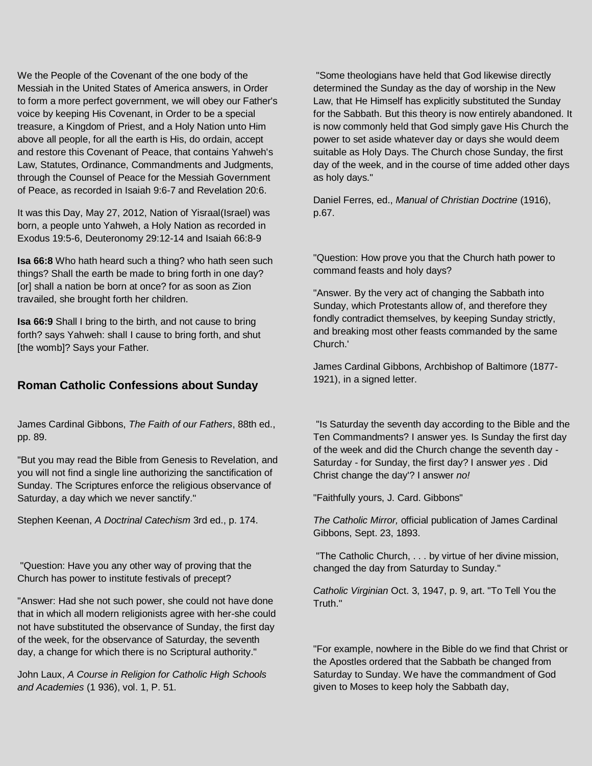We the People of the Covenant of the one body of the Messiah in the United States of America answers, in Order to form a more perfect government, we will obey our Father's voice by keeping His Covenant, in Order to be a special treasure, a Kingdom of Priest, and a Holy Nation unto Him above all people, for all the earth is His, do ordain, accept and restore this Covenant of Peace, that contains Yahweh's Law, Statutes, Ordinance, Commandments and Judgments, through the Counsel of Peace for the Messiah Government of Peace, as recorded in Isaiah 9:6-7 and Revelation 20:6.

It was this Day, May 27, 2012, Nation of Yisraal(Israel) was born, a people unto Yahweh, a Holy Nation as recorded in Exodus 19:5-6, Deuteronomy 29:12-14 and Isaiah 66:8-9

**Isa 66:8** Who hath heard such a thing? who hath seen such things? Shall the earth be made to bring forth in one day? [or] shall a nation be born at once? for as soon as Zion travailed, she brought forth her children.

**Isa 66:9** Shall I bring to the birth, and not cause to bring forth? says Yahweh: shall I cause to bring forth, and shut [the womb]? Says your Father.

## **Roman Catholic Confessions about Sunday**

James Cardinal Gibbons, *The Faith of our Fathers*, 88th ed., pp. 89.

"But you may read the Bible from Genesis to Revelation, and you will not find a single line authorizing the sanctification of Sunday. The Scriptures enforce the religious observance of Saturday, a day which we never sanctify."

Stephen Keenan, *A Doctrinal Catechism* 3rd ed., p. 174.

"Question: Have you any other way of proving that the Church has power to institute festivals of precept?

"Answer: Had she not such power, she could not have done that in which all modern religionists agree with her-she could not have substituted the observance of Sunday, the first day of the week, for the observance of Saturday, the seventh day, a change for which there is no Scriptural authority."

John Laux, *A Course in Religion for Catholic High Schools and Academies* (1 936), vol. 1, P. 51.

"Some theologians have held that God likewise directly determined the Sunday as the day of worship in the New Law, that He Himself has explicitly substituted the Sunday for the Sabbath. But this theory is now entirely abandoned. It is now commonly held that God simply gave His Church the power to set aside whatever day or days she would deem suitable as Holy Days. The Church chose Sunday, the first day of the week, and in the course of time added other days as holy days."

Daniel Ferres, ed., *Manual of Christian Doctrine* (1916), p.67.

"Question: How prove you that the Church hath power to command feasts and holy days?

"Answer. By the very act of changing the Sabbath into Sunday, which Protestants allow of, and therefore they fondly contradict themselves, by keeping Sunday strictly, and breaking most other feasts commanded by the same Church.'

James Cardinal Gibbons, Archbishop of Baltimore (1877- 1921), in a signed letter.

"Is Saturday the seventh day according to the Bible and the Ten Commandments? I answer yes. Is Sunday the first day of the week and did the Church change the seventh day - Saturday - for Sunday, the first day? I answer *yes* . Did Christ change the day'? I answer *no!*

"Faithfully yours, J. Card. Gibbons"

*The Catholic Mirror,* official publication of James Cardinal Gibbons, Sept. 23, 1893.

"The Catholic Church, . . . by virtue of her divine mission, changed the day from Saturday to Sunday."

*Catholic Virginian* Oct. 3, 1947, p. 9, art. "To Tell You the Truth."

"For example, nowhere in the Bible do we find that Christ or the Apostles ordered that the Sabbath be changed from Saturday to Sunday. We have the commandment of God given to Moses to keep holy the Sabbath day,